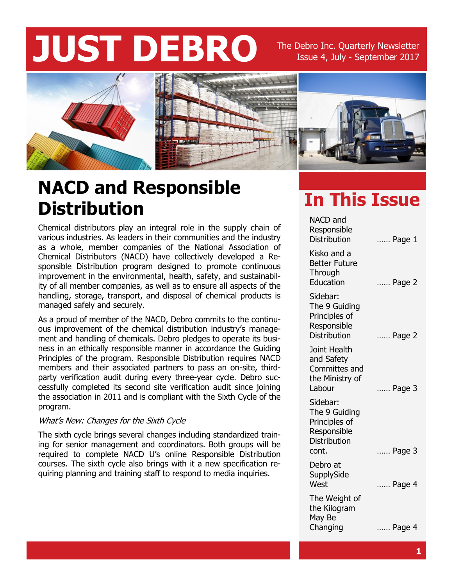# **JUST DEBRO** The Debro Inc. Quarterly Newsletter

Issue 4, July - September 2017



## **NACD and Responsible Distribution**

Chemical distributors play an integral role in the supply chain of various industries. As leaders in their communities and the industry as a whole, member companies of the National Association of Chemical Distributors (NACD) have collectively developed a Responsible Distribution program designed to promote continuous improvement in the environmental, health, safety, and sustainability of all member companies, as well as to ensure all aspects of the handling, storage, transport, and disposal of chemical products is managed safely and securely.

As a proud of member of the NACD, Debro commits to the continuous improvement of the chemical distribution industry's management and handling of chemicals. Debro pledges to operate its business in an ethically responsible manner in accordance the Guiding Principles of the program. Responsible Distribution requires NACD members and their associated partners to pass an on-site, thirdparty verification audit during every three-year cycle. Debro successfully completed its second site verification audit since joining the association in 2011 and is compliant with the Sixth Cycle of the program.

#### What's New: Changes for the Sixth Cycle

The sixth cycle brings several changes including standardized training for senior management and coordinators. Both groups will be required to complete NACD U's online Responsible Distribution courses. The sixth cycle also brings with it a new specification requiring planning and training staff to respond to media inquiries.

#### **In This Issue**

| <b>NACD</b> and<br>Responsible<br><b>Distribution</b>                                     | Page 1 |
|-------------------------------------------------------------------------------------------|--------|
| Kisko and a<br><b>Better Future</b><br>Through<br>Education                               | Page 2 |
| Sidebar:<br>The 9 Guiding<br>Principles of<br>Responsible<br><b>Distribution</b>          | Page 2 |
| Joint Health<br>and Safety<br>Committes and<br>the Ministry of<br>Labour                  | Page 3 |
| Sidebar:<br>The 9 Guiding<br>Principles of<br>Responsible<br><b>Distribution</b><br>cont. | Page 3 |
| Debro at<br>SupplySide<br>West                                                            | Page 4 |
| The Weight of<br>the Kilogram<br>May Be<br>Changing                                       | Page 4 |
|                                                                                           |        |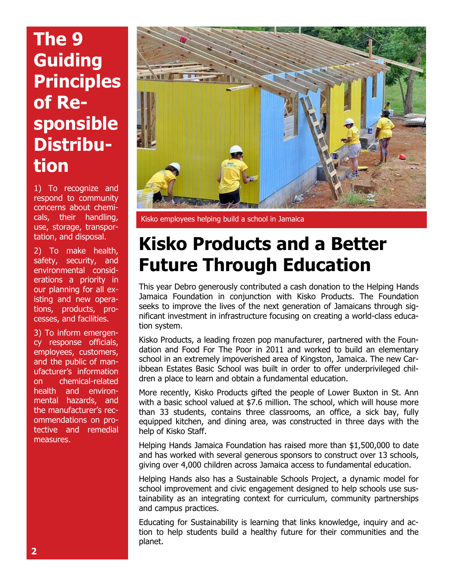## **The 9 Guiding Principles of Responsible Distribution**

1) To recognize and respond to community concerns about chemicals, their handling, use, storage, transportation, and disposal.

2) To make health, safety, security, and environmental considerations a priority in our planning for all existing and new operations, products, processes, and facilities.

3) To inform emergency response officials, employees, customers, and the public of manufacturer's information on chemical-related health and environmental hazards, and the manufacturer's recommendations on protective and remedial measures.



Kisko employees helping build a school in Jamaica

#### **Kisko Products and a Better Future Through Education**

This year Debro generously contributed a cash donation to the Helping Hands Jamaica Foundation in conjunction with Kisko Products. The Foundation seeks to improve the lives of the next generation of Jamaicans through significant investment in infrastructure focusing on creating a world-class education system.

Kisko Products, a leading frozen pop manufacturer, partnered with the Foundation and Food For The Poor in 2011 and worked to build an elementary school in an extremely impoverished area of Kingston, Jamaica. The new Caribbean Estates Basic School was built in order to offer underprivileged children a place to learn and obtain a fundamental education.

More recently, Kisko Products gifted the people of Lower Buxton in St. Ann with a basic school valued at \$7.6 million. The school, which will house more than 33 students, contains three classrooms, an office, a sick bay, fully equipped kitchen, and dining area, was constructed in three days with the help of Kisko Staff.

Helping Hands Jamaica Foundation has raised more than \$1,500,000 to date and has worked with several generous sponsors to construct over 13 schools, giving over 4,000 children across Jamaica access to fundamental education.

Helping Hands also has a Sustainable Schools Project, a dynamic model for school improvement and civic engagement designed to help schools use sustainability as an integrating context for curriculum, community partnerships and campus practices.

Educating for Sustainability is learning that links knowledge, inquiry and action to help students build a healthy future for their communities and the planet.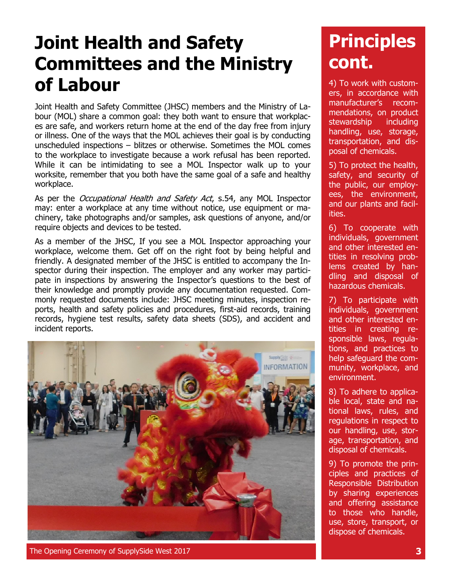## **Joint Health and Safety Committees and the Ministry of Labour**

Joint Health and Safety Committee (JHSC) members and the Ministry of Labour (MOL) share a common goal: they both want to ensure that workplaces are safe, and workers return home at the end of the day free from injury or illness. One of the ways that the MOL achieves their goal is by conducting unscheduled inspections – blitzes or otherwise. Sometimes the MOL comes to the workplace to investigate because a work refusal has been reported. While it can be intimidating to see a MOL Inspector walk up to your worksite, remember that you both have the same goal of a safe and healthy workplace.

As per the *Occupational Health and Safety Act*, s.54, any MOL Inspector may: enter a workplace at any time without notice, use equipment or machinery, take photographs and/or samples, ask questions of anyone, and/or require objects and devices to be tested.

As a member of the JHSC, If you see a MOL Inspector approaching your workplace, welcome them. Get off on the right foot by being helpful and friendly. A designated member of the JHSC is entitled to accompany the Inspector during their inspection. The employer and any worker may participate in inspections by answering the Inspector's questions to the best of their knowledge and promptly provide any documentation requested. Commonly requested documents include: JHSC meeting minutes, inspection reports, health and safety policies and procedures, first-aid records, training records, hygiene test results, safety data sheets (SDS), and accident and incident reports.



**Principles cont.**

4) To work with customers, in accordance with manufacturer's recommendations, on product stewardship including handling, use, storage, transportation, and disposal of chemicals.

5) To protect the health, safety, and security of the public, our employees, the environment, and our plants and facilities.

6) To cooperate with individuals, government and other interested entities in resolving problems created by handling and disposal of hazardous chemicals.

7) To participate with individuals, government and other interested entities in creating responsible laws, regulations, and practices to help safeguard the community, workplace, and environment.

8) To adhere to applicable local, state and national laws, rules, and regulations in respect to our handling, use, storage, transportation, and disposal of chemicals.

9) To promote the principles and practices of Responsible Distribution by sharing experiences and offering assistance to those who handle, use, store, transport, or dispose of chemicals.

The Opening Ceremony of SupplySide West 2017 **3**